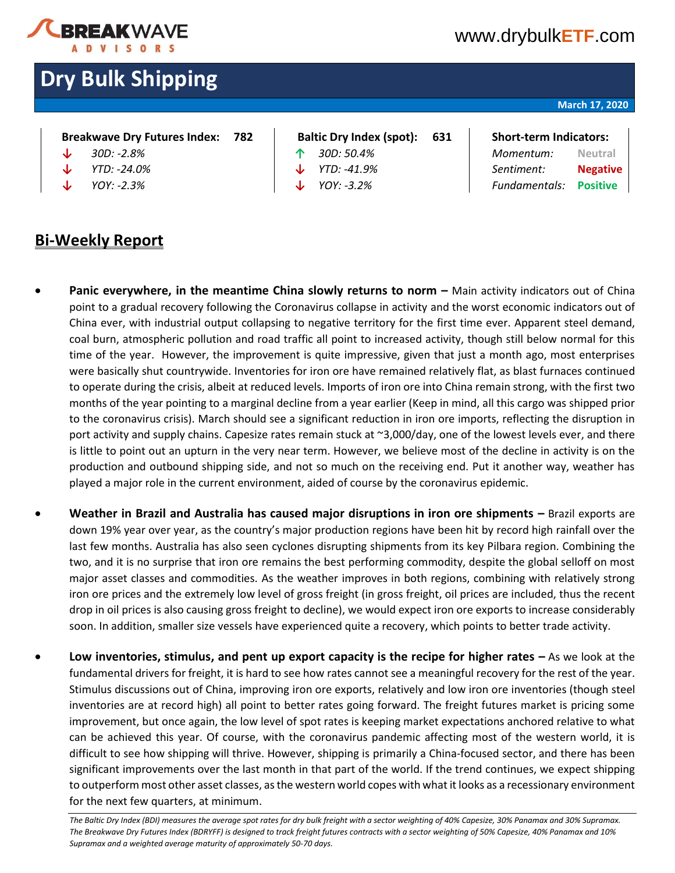

# [www.drybulk](http://www.drybulketf.com/)**ETF**.com

# **Dry Bulk Shipping**

#### **March 17, 2020**

| <b>Breakwave Drv Futures Index:</b> |  | Baltic Dry Index (spot): 631 |  | <b>Short-term Indicators:</b> |
|-------------------------------------|--|------------------------------|--|-------------------------------|
|-------------------------------------|--|------------------------------|--|-------------------------------|

- 
- 
- 

### **Bi-Weekly Report**

- 
- 
- 

## **↓** *30D: -2.8%* **↑** *30D: 50.4% Momentum:* **Neutral ↓** *YTD: -24.0%* **↓** *YTD: -41.9% Sentiment:* **Negative ↓** *YOY: -2.3%* **↓** *YOY: -3.2% Fundamentals:* **Positive**

- **Panic everywhere, in the meantime China slowly returns to norm –** Main activity indicators out of China point to a gradual recovery following the Coronavirus collapse in activity and the worst economic indicators out of China ever, with industrial output collapsing to negative territory for the first time ever. Apparent steel demand, coal burn, atmospheric pollution and road traffic all point to increased activity, though still below normal for this time of the year. However, the improvement is quite impressive, given that just a month ago, most enterprises were basically shut countrywide. Inventories for iron ore have remained relatively flat, as blast furnaces continued to operate during the crisis, albeit at reduced levels. Imports of iron ore into China remain strong, with the first two months of the year pointing to a marginal decline from a year earlier (Keep in mind, all this cargo was shipped prior to the coronavirus crisis). March should see a significant reduction in iron ore imports, reflecting the disruption in port activity and supply chains. Capesize rates remain stuck at ~3,000/day, one of the lowest levels ever, and there is little to point out an upturn in the very near term. However, we believe most of the decline in activity is on the production and outbound shipping side, and not so much on the receiving end. Put it another way, weather has played a major role in the current environment, aided of course by the coronavirus epidemic.
- **Weather in Brazil and Australia has caused major disruptions in iron ore shipments –** Brazil exports are down 19% year over year, as the country's major production regions have been hit by record high rainfall over the last few months. Australia has also seen cyclones disrupting shipments from its key Pilbara region. Combining the two, and it is no surprise that iron ore remains the best performing commodity, despite the global selloff on most major asset classes and commodities. As the weather improves in both regions, combining with relatively strong iron ore prices and the extremely low level of gross freight (in gross freight, oil prices are included, thus the recent drop in oil prices is also causing gross freight to decline), we would expect iron ore exports to increase considerably soon. In addition, smaller size vessels have experienced quite a recovery, which points to better trade activity.
- **Low inventories, stimulus, and pent up export capacity is the recipe for higher rates –** As we look at the fundamental drivers for freight, it is hard to see how rates cannot see a meaningful recovery for the rest of the year. Stimulus discussions out of China, improving iron ore exports, relatively and low iron ore inventories (though steel inventories are at record high) all point to better rates going forward. The freight futures market is pricing some improvement, but once again, the low level of spot rates is keeping market expectations anchored relative to what can be achieved this year. Of course, with the coronavirus pandemic affecting most of the western world, it is difficult to see how shipping will thrive. However, shipping is primarily a China-focused sector, and there has been significant improvements over the last month in that part of the world. If the trend continues, we expect shipping to outperform most other asset classes, as the western world copes with what it looks as a recessionary environment for the next few quarters, at minimum.

The Baltic Dry Index (BDI) measures the average spot rates for dry bulk freight with a sector weighting of 40% Capesize, 30% Panamax and 30% Supramax. *The Breakwave Dry Futures Index (BDRYFF) is designed to track freight futures contracts with a sector weighting of 50% Capesize, 40% Panamax and 10% Supramax and a weighted average maturity of approximately 50-70 days.*